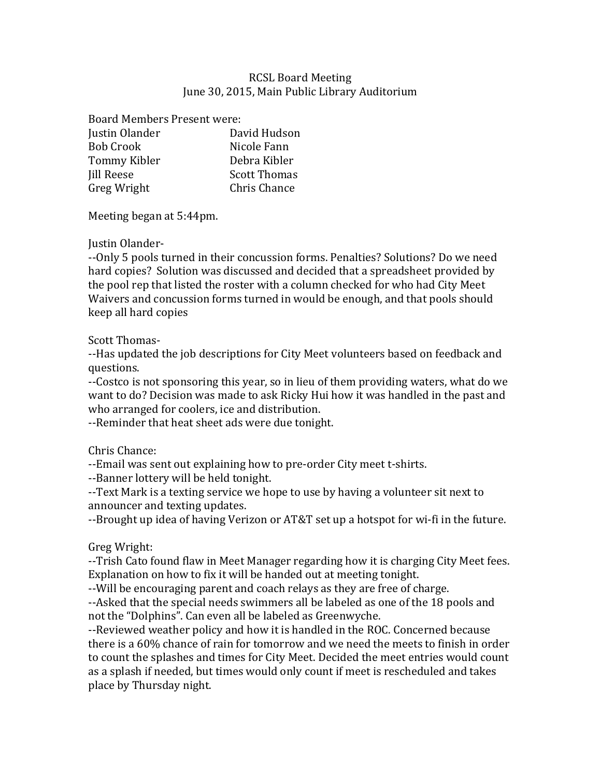## RCSL Board Meeting June 30, 2015, Main Public Library Auditorium

Board Members Present were:

| David Hudson        |
|---------------------|
| Nicole Fann         |
| Debra Kibler        |
| <b>Scott Thomas</b> |
| Chris Chance        |
|                     |

Meeting began at 5:44pm.

Justin Olander-

--Only 5 pools turned in their concussion forms. Penalties? Solutions? Do we need hard copies? Solution was discussed and decided that a spreadsheet provided by the pool rep that listed the roster with a column checked for who had City Meet Waivers and concussion forms turned in would be enough, and that pools should keep all hard copies

Scott Thomas-

--Has updated the job descriptions for City Meet volunteers based on feedback and questions. 

--Costco is not sponsoring this year, so in lieu of them providing waters, what do we want to do? Decision was made to ask Ricky Hui how it was handled in the past and who arranged for coolers, ice and distribution.

--Reminder that heat sheet ads were due tonight.

Chris Chance:

--Email was sent out explaining how to pre-order City meet t-shirts.

--Banner lottery will be held tonight.

--Text Mark is a texting service we hope to use by having a volunteer sit next to announcer and texting updates.

--Brought up idea of having Verizon or AT&T set up a hotspot for wi-fi in the future.

Greg Wright:

--Trish Cato found flaw in Meet Manager regarding how it is charging City Meet fees. Explanation on how to fix it will be handed out at meeting tonight.

--Will be encouraging parent and coach relays as they are free of charge.

--Asked that the special needs swimmers all be labeled as one of the 18 pools and not the "Dolphins". Can even all be labeled as Greenwyche.

--Reviewed weather policy and how it is handled in the ROC. Concerned because there is a  $60\%$  chance of rain for tomorrow and we need the meets to finish in order to count the splashes and times for City Meet. Decided the meet entries would count as a splash if needed, but times would only count if meet is rescheduled and takes place by Thursday night.